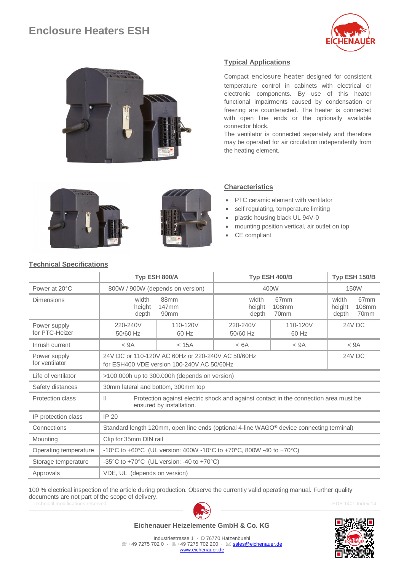# **Enclosure Heaters ESH**





## **Typical Applications**

Compact enclosure heater designed for consistent temperature control in cabinets with electrical or electronic components. By use of this heater functional impairments caused by condensation or freezing are counteracted. The heater is connected with open line ends or the optionally available connector block.

The ventilator is connected separately and therefore may be operated for air circulation independently from the heating element.





#### **Characteristics**

- PTC ceramic element with ventilator
- self regulating, temperature limiting
- plastic housing black UL 94V-0
- mounting position vertical, air outlet on top
- CE compliant

### **Technical Specifications**

|                                |                                                                                                                                  | Typ ESH 800/A                     | Typ ESH 400/B            | Typ ESH 150/B                     |                          |                                   |  |  |
|--------------------------------|----------------------------------------------------------------------------------------------------------------------------------|-----------------------------------|--------------------------|-----------------------------------|--------------------------|-----------------------------------|--|--|
| Power at 20°C                  | 800W / 900W (depends on version)                                                                                                 |                                   | 400W                     | 150W                              |                          |                                   |  |  |
| Dimensions                     | width<br>height<br>depth                                                                                                         | 88mm<br>147mm<br>90 <sub>mm</sub> | width<br>height<br>depth | 67 <sub>mm</sub><br>108mm<br>70mm | width<br>height<br>depth | 67 <sub>mm</sub><br>108mm<br>70mm |  |  |
| Power supply<br>for PTC-Heizer | 220-240V<br>50/60 Hz                                                                                                             | 110-120V<br>60 Hz                 | 220-240V<br>50/60 Hz     | 110-120V<br>60 Hz                 | 24V DC                   |                                   |  |  |
| Inrush current                 | < 9A                                                                                                                             | $<$ 15 $A$                        | < 6A                     | < 9A                              |                          | < 9A                              |  |  |
| Power supply<br>for ventilator | 24V DC or 110-120V AC 60Hz or 220-240V AC 50/60Hz<br>24V DC<br>for ESH400 VDE version 100-240V AC 50/60Hz                        |                                   |                          |                                   |                          |                                   |  |  |
| Life of ventilator             | >100.000h up to 300.000h (depends on version)                                                                                    |                                   |                          |                                   |                          |                                   |  |  |
| Safety distances               | 30mm lateral and bottom, 300mm top                                                                                               |                                   |                          |                                   |                          |                                   |  |  |
| Protection class               | Protection against electric shock and against contact in the connection area must be<br>$\mathbf{H}$<br>ensured by installation. |                                   |                          |                                   |                          |                                   |  |  |
| IP protection class            | IP 20                                                                                                                            |                                   |                          |                                   |                          |                                   |  |  |
| Connections                    | Standard length 120mm, open line ends (optional 4-line WAGO <sup>®</sup> device connecting terminal)                             |                                   |                          |                                   |                          |                                   |  |  |
| Mounting                       | Clip for 35mm DIN rail                                                                                                           |                                   |                          |                                   |                          |                                   |  |  |
| Operating temperature          | -10°C to +60°C (UL version: 400W -10°C to +70°C, 800W -40 to +70°C)                                                              |                                   |                          |                                   |                          |                                   |  |  |
| Storage temperature            | -35°C to +70°C (UL version: -40 to +70°C)                                                                                        |                                   |                          |                                   |                          |                                   |  |  |
| Approvals                      | VDE, UL (depends on version)                                                                                                     |                                   |                          |                                   |                          |                                   |  |  |

Technical modifications reserved **PDB 1401** Index 14 100 % electrical inspection of the article during production. Observe the currently valid operating manual. Further quality documents are not part of the scope of delivery.



**Eichenauer Heizelemente GmbH & Co. KG**



Industriestrasse 1 · D 76770 Hatzenbuehl <sup>2</sup> +49 7275 702 0 · A +49 7275 702 200 · ⊠ [sales@eichenauer.de](mailto:sales@eichenauer.de) [www.eichenauer.de](http://www.eichenauer.de/)